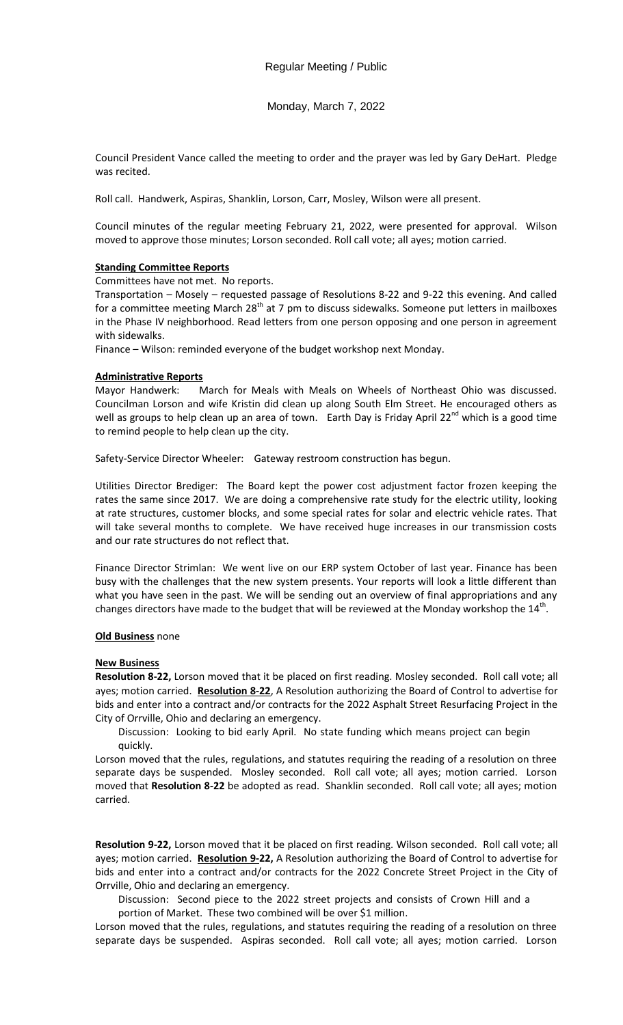Monday, March 7, 2022

Council President Vance called the meeting to order and the prayer was led by Gary DeHart. Pledge was recited.

Roll call. Handwerk, Aspiras, Shanklin, Lorson, Carr, Mosley, Wilson were all present.

Council minutes of the regular meeting February 21, 2022, were presented for approval. Wilson moved to approve those minutes; Lorson seconded. Roll call vote; all ayes; motion carried.

## **Standing Committee Reports**

Committees have not met. No reports.

Transportation – Mosely – requested passage of Resolutions 8-22 and 9-22 this evening. And called for a committee meeting March 28<sup>th</sup> at 7 pm to discuss sidewalks. Someone put letters in mailboxes in the Phase IV neighborhood. Read letters from one person opposing and one person in agreement with sidewalks.

Finance – Wilson: reminded everyone of the budget workshop next Monday.

## **Administrative Reports**

Mayor Handwerk: March for Meals with Meals on Wheels of Northeast Ohio was discussed. Councilman Lorson and wife Kristin did clean up along South Elm Street. He encouraged others as well as groups to help clean up an area of town. Earth Day is Friday April 22<sup>nd</sup> which is a good time to remind people to help clean up the city.

Safety-Service Director Wheeler: Gateway restroom construction has begun.

Utilities Director Brediger: The Board kept the power cost adjustment factor frozen keeping the rates the same since 2017. We are doing a comprehensive rate study for the electric utility, looking at rate structures, customer blocks, and some special rates for solar and electric vehicle rates. That will take several months to complete. We have received huge increases in our transmission costs and our rate structures do not reflect that.

Finance Director Strimlan: We went live on our ERP system October of last year. Finance has been busy with the challenges that the new system presents. Your reports will look a little different than what you have seen in the past. We will be sending out an overview of final appropriations and any changes directors have made to the budget that will be reviewed at the Monday workshop the 14<sup>th</sup>.

## **Old Business** none

#### **New Business**

**Resolution 8-22,** Lorson moved that it be placed on first reading. Mosley seconded. Roll call vote; all ayes; motion carried. **Resolution 8-22**, A Resolution authorizing the Board of Control to advertise for bids and enter into a contract and/or contracts for the 2022 Asphalt Street Resurfacing Project in the City of Orrville, Ohio and declaring an emergency.

Discussion: Looking to bid early April. No state funding which means project can begin quickly.

Lorson moved that the rules, regulations, and statutes requiring the reading of a resolution on three separate days be suspended. Mosley seconded. Roll call vote; all ayes; motion carried. Lorson moved that **Resolution 8-22** be adopted as read. Shanklin seconded. Roll call vote; all ayes; motion carried.

**Resolution 9-22,** Lorson moved that it be placed on first reading. Wilson seconded. Roll call vote; all ayes; motion carried. **Resolution 9-22,** A Resolution authorizing the Board of Control to advertise for bids and enter into a contract and/or contracts for the 2022 Concrete Street Project in the City of Orrville, Ohio and declaring an emergency.

Discussion: Second piece to the 2022 street projects and consists of Crown Hill and a portion of Market. These two combined will be over \$1 million.

Lorson moved that the rules, regulations, and statutes requiring the reading of a resolution on three separate days be suspended. Aspiras seconded. Roll call vote; all ayes; motion carried. Lorson